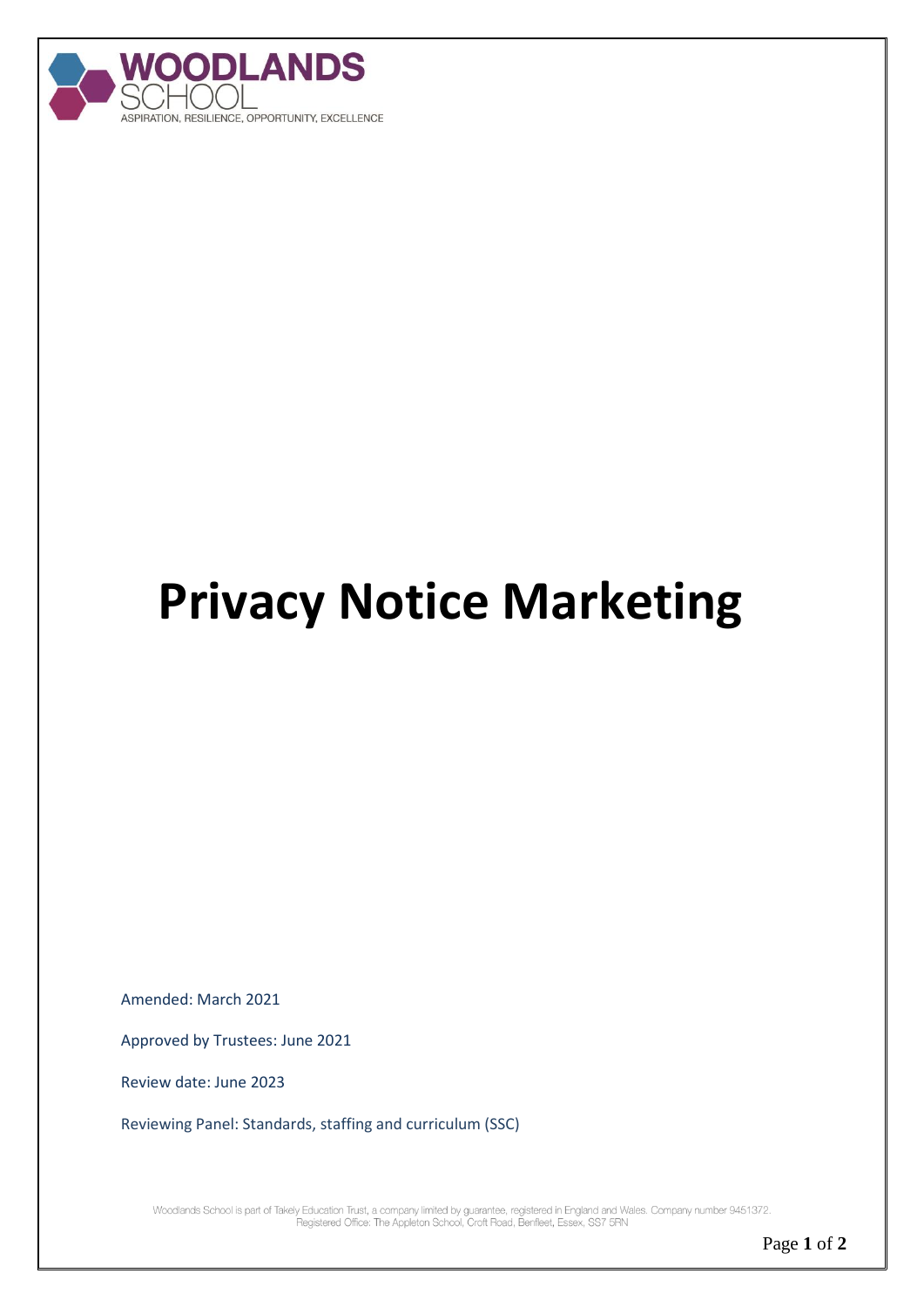

## **Privacy Notice Marketing**

Amended: March 2021

Approved by Trustees: June 2021

Review date: June 2023

Reviewing Panel: Standards, staffing and curriculum (SSC)

Woodlands School is part of Takely Education Trust, a company limited by guarantee, registered in England and Wales. Company number 9451372.<br>Registered Office: The Appleton School, Croft Road, Benfieet, Essex, SS7 5RN